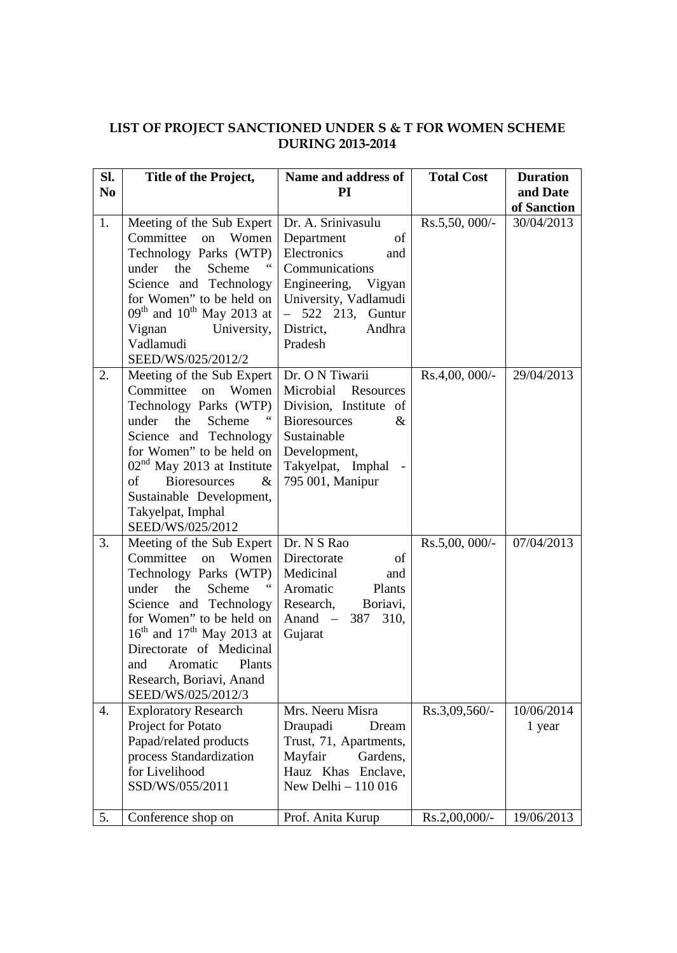## **LIST OF PROJECT SANCTIONED UNDER S & T FOR WOMEN SCHEME DURING 2013-2014**

| Sl.            | Title of the Project,                                                                                                                                                                                                                                                                                       | Name and address of                                                                                                                                                                    | <b>Total Cost</b> | <b>Duration</b>      |
|----------------|-------------------------------------------------------------------------------------------------------------------------------------------------------------------------------------------------------------------------------------------------------------------------------------------------------------|----------------------------------------------------------------------------------------------------------------------------------------------------------------------------------------|-------------------|----------------------|
| N <sub>0</sub> |                                                                                                                                                                                                                                                                                                             | PI                                                                                                                                                                                     |                   | and Date             |
|                |                                                                                                                                                                                                                                                                                                             |                                                                                                                                                                                        |                   | of Sanction          |
| 1.             | Meeting of the Sub Expert<br>Committee<br>Women<br>on<br>Technology Parks (WTP)<br>under<br>the<br>Scheme<br>Science and Technology<br>for Women" to be held on<br>$09th$ and $10th$ May 2013 at<br>University,<br>Vignan<br>Vadlamudi<br>SEED/WS/025/2012/2                                                | Dr. A. Srinivasulu<br>Department<br>of<br>Electronics<br>and<br>Communications<br>Engineering, Vigyan<br>University, Vadlamudi<br>$-522$ 213, Guntur<br>Andhra<br>District,<br>Pradesh | $Rs.5,50,000/-$   | 30/04/2013           |
| 2.             | Meeting of the Sub Expert<br>Committee on Women<br>Technology Parks (WTP)<br>Scheme<br>under the<br>Science and Technology<br>for Women" to be held on<br>$02nd$ May 2013 at Institute<br>$\&$<br><b>Bioresources</b><br>of<br>Sustainable Development,<br>Takyelpat, Imphal<br>SEED/WS/025/2012            | Dr. O N Tiwarii<br>Microbial Resources<br>Division, Institute of<br><b>Bioresources</b><br>&<br>Sustainable<br>Development,<br>Takyelpat, Imphal<br>795 001, Manipur                   | $Rs.4,00,000/$ -  | 29/04/2013           |
| 3.             | Meeting of the Sub Expert<br>Committee<br>on<br>Women<br>Technology Parks (WTP)<br>under<br>the<br>Scheme<br>Science and Technology<br>for Women" to be held on<br>$16th$ and $17th$ May 2013 at<br>Directorate of Medicinal<br>Plants<br>and<br>Aromatic<br>Research, Boriavi, Anand<br>SEED/WS/025/2012/3 | Dr. N S Rao<br>Directorate<br>of<br>Medicinal<br>and<br>Aromatic<br>Plants<br>Boriavi,<br>Research,<br>387<br>Anand $-$<br>310,<br>Gujarat                                             | $Rs.5,00,000/$ -  | 07/04/2013           |
| 4.             | <b>Exploratory Research</b><br>Project for Potato<br>Papad/related products<br>process Standardization<br>for Livelihood<br>SSD/WS/055/2011                                                                                                                                                                 | Mrs. Neeru Misra<br>Draupadi<br>Dream<br>Trust, 71, Apartments,<br>Mayfair<br>Gardens,<br>Hauz Khas Enclave,<br>New Delhi - 110 016                                                    | $Rs.3,09,560/-$   | 10/06/2014<br>1 year |
| 5.             | Conference shop on                                                                                                                                                                                                                                                                                          | Prof. Anita Kurup                                                                                                                                                                      | $Rs.2,00,000/$ -  | 19/06/2013           |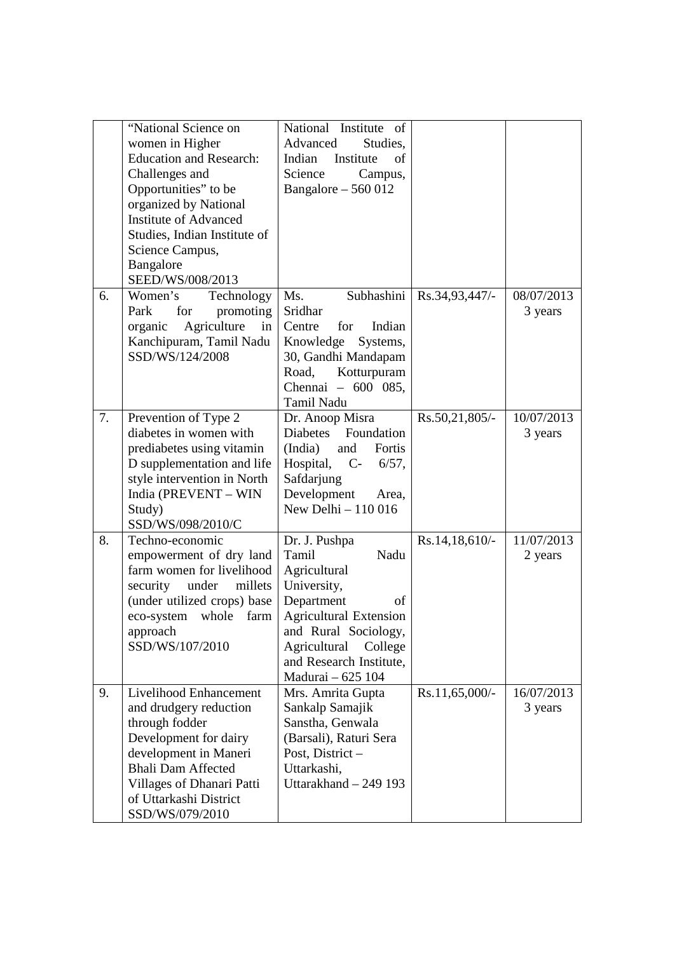|    | "National Science on<br>women in Higher<br><b>Education and Research:</b><br>Challenges and<br>Opportunities" to be<br>organized by National<br><b>Institute of Advanced</b><br>Studies, Indian Institute of<br>Science Campus,<br>Bangalore<br>SEED/WS/008/2013 | National Institute of<br>Advanced<br>Studies,<br>Indian<br>Institute<br>of<br>Science<br>Campus,<br>Bangalore $-560012$                                                                                               |                  |                       |
|----|------------------------------------------------------------------------------------------------------------------------------------------------------------------------------------------------------------------------------------------------------------------|-----------------------------------------------------------------------------------------------------------------------------------------------------------------------------------------------------------------------|------------------|-----------------------|
| 6. | Women's<br>Technology<br>Park<br>for<br>promoting<br>Agriculture<br>organic<br>in<br>Kanchipuram, Tamil Nadu<br>SSD/WS/124/2008                                                                                                                                  | Subhashini<br>Ms.<br>Sridhar<br>Centre<br>for<br>Indian<br>Knowledge Systems,<br>30, Gandhi Mandapam<br>Kotturpuram<br>Road,<br>Chennai - 600 085,<br>Tamil Nadu                                                      | Rs.34,93,447/-   | 08/07/2013<br>3 years |
| 7. | Prevention of Type 2<br>diabetes in women with<br>prediabetes using vitamin<br>D supplementation and life<br>style intervention in North<br>India (PREVENT - WIN<br>Study)<br>SSD/WS/098/2010/C                                                                  | Dr. Anoop Misra<br>Diabetes<br>Foundation<br>(India)<br>and Fortis<br>Hospital, $C-6/57$ ,<br>Safdarjung<br>Development<br>Area,<br>New Delhi - 110 016                                                               | Rs.50,21,805/-   | 10/07/2013<br>3 years |
| 8. | Techno-economic<br>empowerment of dry land<br>farm women for livelihood<br>security under<br>millets<br>(under utilized crops) base<br>eco-system whole<br>farm<br>approach<br>SSD/WS/107/2010                                                                   | Dr. J. Pushpa<br>Nadu<br>Tamil<br>Agricultural<br>University,<br>Department<br>οf<br><b>Agricultural Extension</b><br>and Rural Sociology,<br>Agricultural<br>College<br>and Research Institute,<br>Madurai - 625 104 | $Rs.14,18,610/-$ | 11/07/2013<br>2 years |
| 9. | Livelihood Enhancement<br>and drudgery reduction<br>through fodder<br>Development for dairy<br>development in Maneri<br><b>Bhali Dam Affected</b><br>Villages of Dhanari Patti<br>of Uttarkashi District<br>SSD/WS/079/2010                                      | Mrs. Amrita Gupta<br>Sankalp Samajik<br>Sanstha, Genwala<br>(Barsali), Raturi Sera<br>Post, District-<br>Uttarkashi,<br>Uttarakhand - 249 193                                                                         | $Rs.11,65,000/-$ | 16/07/2013<br>3 years |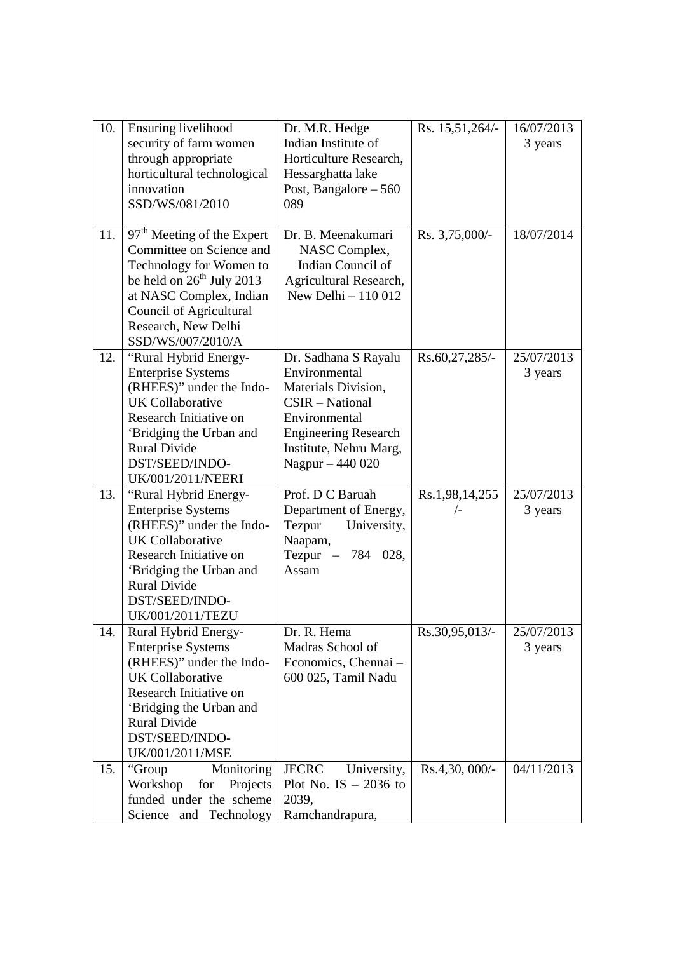| 10. | Ensuring livelihood                    | Dr. M.R. Hedge              | Rs. 15,51,264/- | 16/07/2013 |
|-----|----------------------------------------|-----------------------------|-----------------|------------|
|     | security of farm women                 | Indian Institute of         |                 | 3 years    |
|     | through appropriate                    | Horticulture Research,      |                 |            |
|     | horticultural technological            | Hessarghatta lake           |                 |            |
|     | innovation                             | Post, Bangalore $-560$      |                 |            |
|     | SSD/WS/081/2010                        | 089                         |                 |            |
|     |                                        |                             |                 |            |
| 11. | 97 <sup>th</sup> Meeting of the Expert | Dr. B. Meenakumari          | Rs. 3,75,000/-  | 18/07/2014 |
|     | Committee on Science and               | NASC Complex,               |                 |            |
|     | Technology for Women to                | Indian Council of           |                 |            |
|     | be held on $26th$ July 2013            | Agricultural Research,      |                 |            |
|     | at NASC Complex, Indian                | New Delhi $-110012$         |                 |            |
|     | <b>Council of Agricultural</b>         |                             |                 |            |
|     | Research, New Delhi                    |                             |                 |            |
|     | SSD/WS/007/2010/A                      |                             |                 |            |
| 12. | "Rural Hybrid Energy-                  | Dr. Sadhana S Rayalu        | Rs.60,27,285/-  | 25/07/2013 |
|     | <b>Enterprise Systems</b>              | Environmental               |                 | 3 years    |
|     | (RHEES)" under the Indo-               | Materials Division,         |                 |            |
|     | <b>UK</b> Collaborative                | CSIR - National             |                 |            |
|     | Research Initiative on                 | Environmental               |                 |            |
|     | 'Bridging the Urban and                | <b>Engineering Research</b> |                 |            |
|     | <b>Rural Divide</b>                    | Institute, Nehru Marg,      |                 |            |
|     | DST/SEED/INDO-                         | Nagpur - 440 020            |                 |            |
|     | <b>UK/001/2011/NEERI</b>               |                             |                 |            |
| 13. | "Rural Hybrid Energy-                  | Prof. D C Baruah            | Rs.1,98,14,255  | 25/07/2013 |
|     | <b>Enterprise Systems</b>              | Department of Energy,       | $\sqrt{-}$      | 3 years    |
|     | (RHEES)" under the Indo-               | University,<br>Tezpur       |                 |            |
|     | <b>UK</b> Collaborative                | Naapam,                     |                 |            |
|     | Research Initiative on                 | Tezpur - 784 028,           |                 |            |
|     | 'Bridging the Urban and                | Assam                       |                 |            |
|     | <b>Rural Divide</b>                    |                             |                 |            |
|     | DST/SEED/INDO-                         |                             |                 |            |
|     | <b>UK/001/2011/TEZU</b>                |                             |                 |            |
| 14. | Rural Hybrid Energy-                   | Dr. R. Hema                 | Rs.30,95,013/-  | 25/07/2013 |
|     | <b>Enterprise Systems</b>              | Madras School of            |                 | 3 years    |
|     | (RHEES)" under the Indo-               | Economics, Chennai -        |                 |            |
|     | <b>UK</b> Collaborative                | 600 025, Tamil Nadu         |                 |            |
|     | Research Initiative on                 |                             |                 |            |
|     | 'Bridging the Urban and                |                             |                 |            |
|     | <b>Rural Divide</b>                    |                             |                 |            |
|     | DST/SEED/INDO-                         |                             |                 |            |
|     | UK/001/2011/MSE                        |                             |                 |            |
| 15. | "Group<br>Monitoring                   | <b>JECRC</b><br>University, | Rs.4,30, 000/-  | 04/11/2013 |
|     | Workshop<br>Projects<br>for            | Plot No. IS $-2036$ to      |                 |            |
|     | funded under the scheme                | 2039,                       |                 |            |
|     | Science and Technology                 | Ramchandrapura,             |                 |            |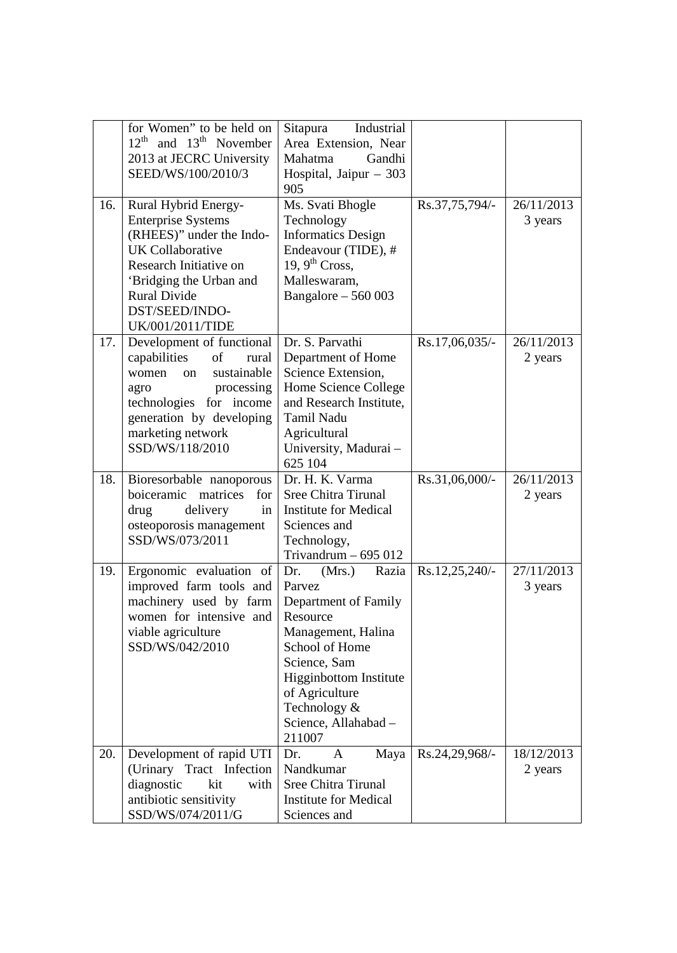|      | for Women" to be held on                    | Industrial                                   |                |            |
|------|---------------------------------------------|----------------------------------------------|----------------|------------|
|      | $12^{th}$ and $13^{th}$ November            | Sitapura<br>Area Extension, Near             |                |            |
|      |                                             | Gandhi                                       |                |            |
|      | 2013 at JECRC University                    | Mahatma                                      |                |            |
|      | SEED/WS/100/2010/3                          | Hospital, Jaipur $-303$                      |                |            |
|      |                                             | 905                                          |                |            |
| 16.1 | Rural Hybrid Energy-                        | Ms. Svati Bhogle                             | Rs.37,75,794/- | 26/11/2013 |
|      | <b>Enterprise Systems</b>                   | Technology                                   |                | 3 years    |
|      | (RHEES)" under the Indo-                    | <b>Informatics Design</b>                    |                |            |
|      | <b>UK</b> Collaborative                     | Endeavour (TIDE), #                          |                |            |
|      | Research Initiative on                      | 19, $9^{\text{th}}$ Cross,                   |                |            |
|      | 'Bridging the Urban and                     | Malleswaram,                                 |                |            |
|      | <b>Rural Divide</b>                         | Bangalore $-560003$                          |                |            |
|      | DST/SEED/INDO-                              |                                              |                |            |
|      | UK/001/2011/TIDE                            |                                              |                |            |
| 17.  | Development of functional                   | Dr. S. Parvathi                              | Rs.17,06,035/- | 26/11/2013 |
|      | capabilities<br>of<br>rural                 | Department of Home                           |                | 2 years    |
|      | sustainable<br>women<br>$_{\rm on}$         | Science Extension,                           |                |            |
|      | processing<br>agro                          | Home Science College                         |                |            |
|      | technologies for income                     | and Research Institute,                      |                |            |
|      | generation by developing                    | <b>Tamil Nadu</b>                            |                |            |
|      | marketing network                           | Agricultural                                 |                |            |
|      | SSD/WS/118/2010                             | University, Madurai-                         |                |            |
|      |                                             | 625 104                                      |                |            |
|      |                                             |                                              |                |            |
| 18.  | Bioresorbable nanoporous                    | Dr. H. K. Varma                              | Rs.31,06,000/- | 26/11/2013 |
|      | matrices<br>boiceramic<br>for               | <b>Sree Chitra Tirunal</b>                   |                | 2 years    |
|      | drug<br>delivery<br>in                      | <b>Institute for Medical</b>                 |                |            |
|      | osteoporosis management                     | Sciences and                                 |                |            |
|      | SSD/WS/073/2011                             | Technology,                                  |                |            |
|      |                                             | Trivandrum $-695012$                         |                |            |
| 19.  | Ergonomic evaluation of $\vert$ Dr.         | (Mrs.)<br>Razia                              | Rs.12,25,240/- | 27/11/2013 |
|      | improved farm tools and                     | Parvez                                       |                | 3 years    |
|      | machinery used by farm                      | Department of Family                         |                |            |
|      | women for intensive and                     | Resource                                     |                |            |
|      | viable agriculture                          | Management, Halina                           |                |            |
|      | SSD/WS/042/2010                             | School of Home                               |                |            |
|      |                                             | Science, Sam                                 |                |            |
|      |                                             | Higginbottom Institute                       |                |            |
|      |                                             | of Agriculture                               |                |            |
|      |                                             | Technology &                                 |                |            |
|      |                                             | Science, Allahabad -                         |                |            |
|      |                                             | 211007                                       |                |            |
| 20.  | Development of rapid UTI                    | Dr.<br>A<br>Maya                             | Rs.24,29,968/- | 18/12/2013 |
|      | (Urinary Tract Infection                    | Nandkumar                                    |                | 2 years    |
|      | diagnostic<br>with<br>kit                   | <b>Sree Chitra Tirunal</b>                   |                |            |
|      | antibiotic sensitivity<br>SSD/WS/074/2011/G | <b>Institute for Medical</b><br>Sciences and |                |            |